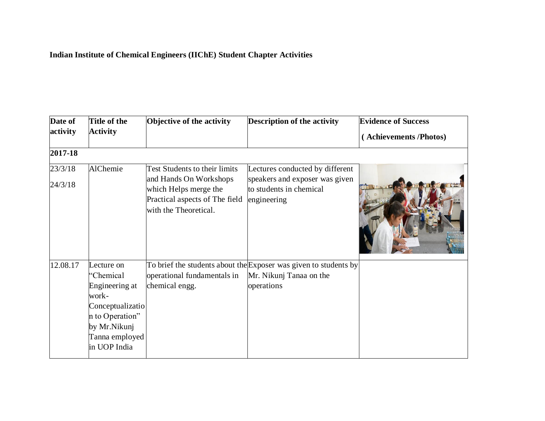## **Indian Institute of Chemical Engineers (IIChE) Student Chapter Activities**

| Date of  | Title of the                                                                                                                                | Objective of the activity                                                                                  | <b>Description of the activity</b>                                                                        | <b>Evidence of Success</b> |
|----------|---------------------------------------------------------------------------------------------------------------------------------------------|------------------------------------------------------------------------------------------------------------|-----------------------------------------------------------------------------------------------------------|----------------------------|
| activity | <b>Activity</b>                                                                                                                             |                                                                                                            |                                                                                                           | (Achievements/Photos)      |
| 2017-18  |                                                                                                                                             |                                                                                                            |                                                                                                           |                            |
| 23/3/18  | AlChemie                                                                                                                                    | Test Students to their limits                                                                              | Lectures conducted by different                                                                           |                            |
| 24/3/18  |                                                                                                                                             | and Hands On Workshops<br>which Helps merge the<br>Practical aspects of The field<br>with the Theoretical. | speakers and exposer was given<br>to students in chemical<br>engineering                                  |                            |
| 12.08.17 | Lecture on<br>"Chemical<br>Engineering at<br>work-<br>Conceptualizatio<br>n to Operation"<br>by Mr.Nikunj<br>Tanna employed<br>in UOP India | operational fundamentals in<br>chemical engg.                                                              | To brief the students about the Exposer was given to students by<br>Mr. Nikunj Tanaa on the<br>operations |                            |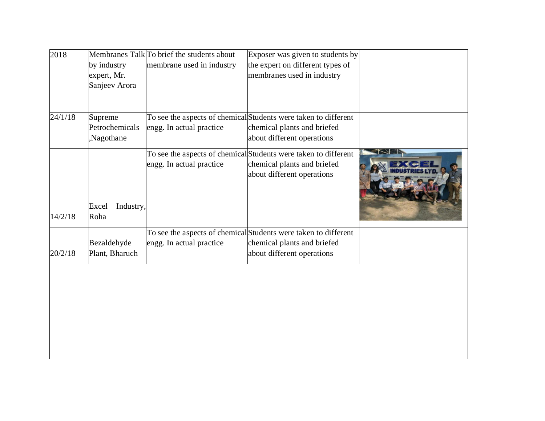| 2018    | by industry<br>expert, Mr.<br>Sanjeev Arora | Membranes Talk To brief the students about<br>membrane used in industry | Exposer was given to students by<br>the expert on different types of<br>membranes used in industry                           |  |
|---------|---------------------------------------------|-------------------------------------------------------------------------|------------------------------------------------------------------------------------------------------------------------------|--|
| 24/1/18 | Supreme<br>Petrochemicals<br>Nagothane      | engg. In actual practice                                                | To see the aspects of chemical Students were taken to different<br>chemical plants and briefed<br>about different operations |  |
| 14/2/18 | Excel<br>Industry,<br>Roha                  | engg. In actual practice                                                | To see the aspects of chemical Students were taken to different<br>chemical plants and briefed<br>about different operations |  |
|         |                                             |                                                                         | To see the aspects of chemical Students were taken to different                                                              |  |
| 20/2/18 | Bezaldehyde<br>Plant, Bharuch               | engg. In actual practice                                                | chemical plants and briefed<br>about different operations                                                                    |  |
|         |                                             |                                                                         |                                                                                                                              |  |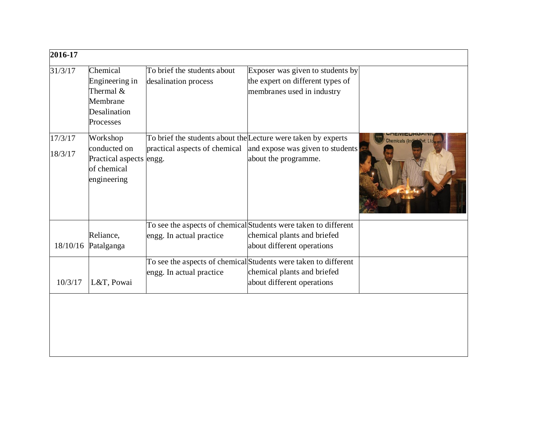| 2016-17            |                                                                                   |                                                     |                                                                                                                              |              |
|--------------------|-----------------------------------------------------------------------------------|-----------------------------------------------------|------------------------------------------------------------------------------------------------------------------------------|--------------|
| 31/3/17            | Chemical<br>Engineering in<br>Thermal &<br>Membrane<br>Desalination<br>Processes  | To brief the students about<br>desalination process | Exposer was given to students by<br>the expert on different types of<br>membranes used in industry                           |              |
| 17/3/17<br>18/3/17 | Workshop<br>conducted on<br>Practical aspects engg.<br>of chemical<br>engineering | practical aspects of chemical                       | To brief the students about the Lecture were taken by experts<br>and expose was given to students<br>about the programme.    | emicals (Ind |
| 18/10/16           | Reliance,<br>Patalganga                                                           | engg. In actual practice                            | To see the aspects of chemical Students were taken to different<br>chemical plants and briefed<br>about different operations |              |
| 10/3/17            | L&T, Powai                                                                        | engg. In actual practice                            | To see the aspects of chemical Students were taken to different<br>chemical plants and briefed<br>about different operations |              |
|                    |                                                                                   |                                                     |                                                                                                                              |              |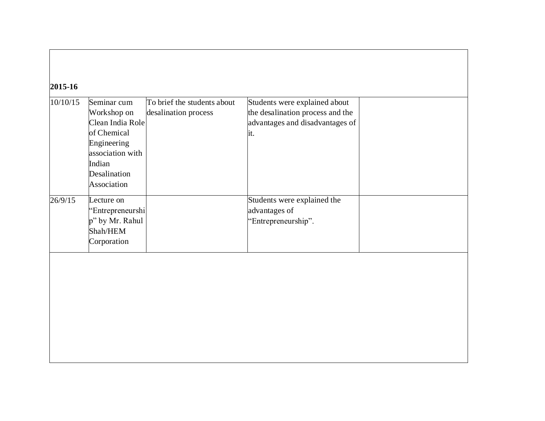| Students were explained about<br>Seminar cum<br>To brief the students about<br>10/10/15<br>the desalination process and the<br>Workshop on<br>desalination process<br>Clean India Role<br>advantages and disadvantages of<br>of Chemical<br>it.<br>Engineering<br>association with<br>Indian<br>Desalination<br>Association<br>Students were explained the<br>Lecture on |  |
|--------------------------------------------------------------------------------------------------------------------------------------------------------------------------------------------------------------------------------------------------------------------------------------------------------------------------------------------------------------------------|--|
| 26/9/15                                                                                                                                                                                                                                                                                                                                                                  |  |
| advantages of<br>'Entrepreneurshi<br>p" by Mr. Rahul<br>"Entrepreneurship".<br>Shah/HEM<br>Corporation                                                                                                                                                                                                                                                                   |  |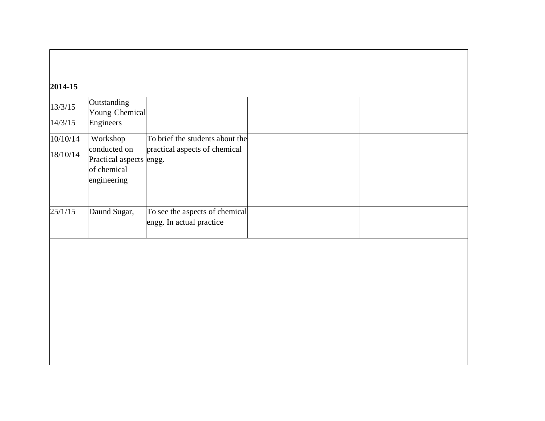## **2014-15**

| 13/3/15              | Outstanding<br>Young Chemical                                                     |                                                                  |  |
|----------------------|-----------------------------------------------------------------------------------|------------------------------------------------------------------|--|
| 14/3/15              | Engineers                                                                         |                                                                  |  |
| 10/10/14<br>18/10/14 | Workshop<br>conducted on<br>Practical aspects engg.<br>of chemical<br>engineering | To brief the students about the<br>practical aspects of chemical |  |
| 25/1/15              | Daund Sugar,                                                                      | To see the aspects of chemical<br>engg. In actual practice       |  |
|                      |                                                                                   |                                                                  |  |
|                      |                                                                                   |                                                                  |  |
|                      |                                                                                   |                                                                  |  |
|                      |                                                                                   |                                                                  |  |
|                      |                                                                                   |                                                                  |  |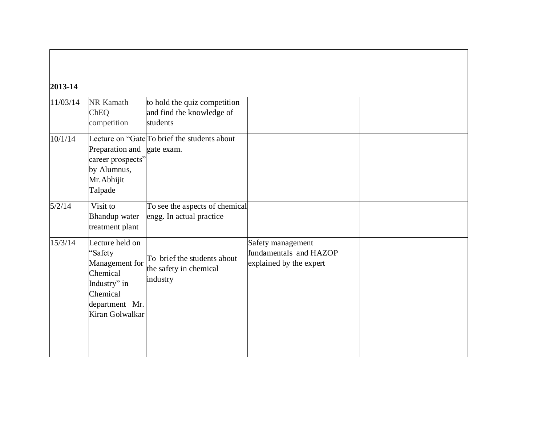## **2013-14**

| 11/03/14 | <b>NR Kamath</b>           |                                                           |                         |  |
|----------|----------------------------|-----------------------------------------------------------|-------------------------|--|
|          | ChEQ                       | to hold the quiz competition<br>and find the knowledge of |                         |  |
|          |                            | students                                                  |                         |  |
|          | competition                |                                                           |                         |  |
| 10/1/14  |                            | Lecture on "Gate To brief the students about              |                         |  |
|          | Preparation and gate exam. |                                                           |                         |  |
|          | career prospects"          |                                                           |                         |  |
|          | by Alumnus,                |                                                           |                         |  |
|          | Mr. Abhijit                |                                                           |                         |  |
|          | Talpade                    |                                                           |                         |  |
| 5/2/14   | Visit to                   | To see the aspects of chemical                            |                         |  |
|          | <b>Bhandup</b> water       | engg. In actual practice                                  |                         |  |
|          | treatment plant            |                                                           |                         |  |
| 15/3/14  | Lecture held on            |                                                           | Safety management       |  |
|          | "Safety                    | To brief the students about                               | fundamentals and HAZOP  |  |
|          | Management for             | the safety in chemical                                    | explained by the expert |  |
|          | Chemical                   | industry                                                  |                         |  |
|          | Industry" in               |                                                           |                         |  |
|          | Chemical                   |                                                           |                         |  |
|          | department Mr.             |                                                           |                         |  |
|          | Kiran Golwalkar            |                                                           |                         |  |
|          |                            |                                                           |                         |  |
|          |                            |                                                           |                         |  |
|          |                            |                                                           |                         |  |
|          |                            |                                                           |                         |  |